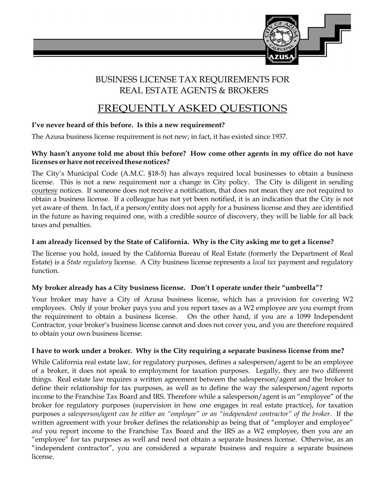

# BUSINESS LICENSE TAX REQUIREMENTS FOR REAL ESTATE AGENTS & BROKERS

# FREQUENTLY ASKED QUESTIONS

## **I've never heard of this before. Is this a new requirement?**

The Azusa business license requirement is not new; in fact, it has existed since 1937.

#### **Why hasn't anyone told me about this before? How come other agents in my office do not have licenses or have not received these notices?**

The City's Municipal Code (A.M.C. §18-5) has always required local businesses to obtain a business license. This is not a new requirement nor a change in City policy. The City is diligent in sending courtesy notices. If someone does not receive a notification, that does not mean they are not required to obtain a business license. If a colleague has not yet been notified, it is an indication that the City is not yet aware of them. In fact, if a person/entity does not apply for a business license and they are identified in the future as having required one, with a credible source of discovery, they will be liable for all back taxes and penalties.

### **I am already licensed by the State of California. Why is the City asking me to get a license?**

The license you hold, issued by the California Bureau of Real Estate (formerly the Department of Real Estate) is a *State regulatory* license. A City business license represents a *local tax* payment and regulatory function.

#### **My broker already has a City business license. Don't I operate under their "umbrella"?**

Your broker may have a City of Azusa business license, which has a provision for covering W2 employees. Only if your broker pays you and you report taxes as a W2 employee are you exempt from the requirement to obtain a business license. On the other hand, if you are a 1099 Independent Contractor, your broker's business license cannot and does not cover you, and you are therefore required to obtain your own business license.

#### **I have to work under a broker. Why is the City requiring a separate business license from me?**

While California real estate law, for regulatory purposes, defines a salesperson/agent to be an employee of a broker, it does not speak to employment for taxation purposes. Legally, they are two different things. Real estate law requires a written agreement between the salesperson/agent and the broker to define their relationship for tax purposes, as well as to define the way the salesperson/agent reports income to the Franchise Tax Board and IRS. Therefore while a salesperson/agent is an "employee" of the broker for regulatory purposes (supervision in how one engages in real estate practice), for taxation purposes *a salesperson/agent can be either an "employee" or an "independent contractor" of the broker*. If the written agreement with your broker defines the relationship as being that of "employer and employee" *and* you report income to the Franchise Tax Board and the IRS as a W2 employee, then you are an "employee" for tax purposes as well and need not obtain a separate business license. Otherwise, as an "independent contractor", you are considered a separate business and require a separate business license.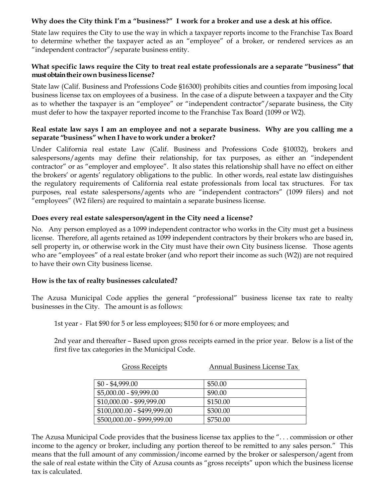#### **Why does the City think I'm a "business?" I work for a broker and use a desk at his office.**

State law requires the City to use the way in which a taxpayer reports income to the Franchise Tax Board to determine whether the taxpayer acted as an "employee" of a broker, or rendered services as an "independent contractor"/separate business entity.

#### **What specific laws require the City to treat real estate professionals are a separate "business" that must obtain their own business license?**

State law (Calif. Business and Professions Code §16300) prohibits cities and counties from imposing local business license tax on employees of a business. In the case of a dispute between a taxpayer and the City as to whether the taxpayer is an "employee" or "independent contractor"/separate business, the City must defer to how the taxpayer reported income to the Franchise Tax Board (1099 or W2).

#### **Real estate law says I am an employee and not a separate business. Why are you calling me a separate "business" when I have to work under a broker?**

Under California real estate Law (Calif. Business and Professions Code §10032), brokers and salespersons/agents may define their relationship, for tax purposes, as either an "independent contractor" or as "employer and employee". It also states this relationship shall have no effect on either the brokers' or agents' regulatory obligations to the public. In other words, real estate law distinguishes the regulatory requirements of California real estate professionals from local tax structures. For tax purposes, real estate salespersons/agents who are "independent contractors" (1099 filers) and not "employees" (W2 filers) are required to maintain a separate business license.

#### **Does every real estate salesperson/agent in the City need a license?**

No. Any person employed as a 1099 independent contractor who works in the City must get a business license. Therefore, all agents retained as 1099 independent contractors by their brokers who are based in, sell property in, or otherwise work in the City must have their own City business license. Those agents who are "employees" of a real estate broker (and who report their income as such (W2)) are not required to have their own City business license.

#### **How is the tax of realty businesses calculated?**

The Azusa Municipal Code applies the general "professional" business license tax rate to realty businesses in the City. The amount is as follows:

1st year - Flat \$90 for 5 or less employees; \$150 for 6 or more employees; and

2nd year and thereafter – Based upon gross receipts earned in the prior year. Below is a list of the first five tax categories in the Municipal Code.

| <b>Gross Receipts</b>       | Annual Business License Tax |
|-----------------------------|-----------------------------|
| $$0 - $4,999.00$            | \$50.00                     |
| $$5,000.00 - $9,999.00$     | \$90.00                     |
| $$10,000.00 - $99,999.00$   | \$150.00                    |
| $$100,000.00 - $499,999.00$ | \$300.00                    |
| \$500,000.00 - \$999,999.00 | \$750.00                    |

The Azusa Municipal Code provides that the business license tax applies to the ". . . commission or other income to the agency or broker, including any portion thereof to be remitted to any sales person." This means that the full amount of any commission/income earned by the broker or salesperson/agent from the sale of real estate within the City of Azusa counts as "gross receipts" upon which the business license tax is calculated.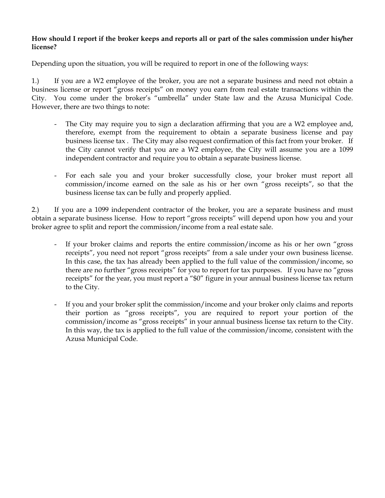#### **How should I report if the broker keeps and reports all or part of the sales commission under his/her license?**

Depending upon the situation, you will be required to report in one of the following ways:

1.) If you are a W2 employee of the broker, you are not a separate business and need not obtain a business license or report "gross receipts" on money you earn from real estate transactions within the City. You come under the broker's "umbrella" under State law and the Azusa Municipal Code. However, there are two things to note:

- The City may require you to sign a declaration affirming that you are a W2 employee and, therefore, exempt from the requirement to obtain a separate business license and pay business license tax . The City may also request confirmation of this fact from your broker. If the City cannot verify that you are a W2 employee, the City will assume you are a 1099 independent contractor and require you to obtain a separate business license.
- For each sale you and your broker successfully close, your broker must report all commission/income earned on the sale as his or her own "gross receipts", so that the business license tax can be fully and properly applied.

2.) If you are a 1099 independent contractor of the broker, you are a separate business and must obtain a separate business license. How to report "gross receipts" will depend upon how you and your broker agree to split and report the commission/income from a real estate sale.

- If your broker claims and reports the entire commission/income as his or her own "gross" receipts", you need not report "gross receipts" from a sale under your own business license. In this case, the tax has already been applied to the full value of the commission/income, so there are no further "gross receipts" for you to report for tax purposes. If you have no "gross receipts" for the year, you must report a "\$0" figure in your annual business license tax return to the City.
- If you and your broker split the commission/income and your broker only claims and reports their portion as "gross receipts", you are required to report your portion of the commission/income as "gross receipts" in your annual business license tax return to the City. In this way, the tax is applied to the full value of the commission/income, consistent with the Azusa Municipal Code.